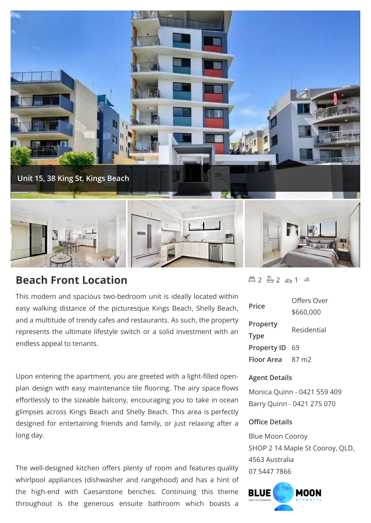

# **Beach Front Location**

This modern and spacious two-bedroom unit is ideally located within easy walking distance of the picturesque Kings Beach, Shelly Beach, and a multitude of trendy cafes and restaurants. As such, the property represents the ultimate lifestyle switch or a solid investment with an endless appeal to tenants.

Upon entering the apartment, you are greeted with a light-filled openplan design with easy maintenance tile flooring. The airy space flows effortlessly to the sizeable balcony, encouraging you to take in ocean glimpses across Kings Beach and Shelly Beach. This area is perfectly designed for entertaining friends and family, or just relaxing after a long day.

The well-designed kitchen offers plenty of room and features quality whirlpool appliances (dishwasher and rangehood) and has a hint of the high-end with Caesarstone benches. Continuing this theme **BLUE** throughout is the generous ensuite bathroom which boasts a

# $42 - 2 2 2 1 3$

| Price              | Offers Over       |
|--------------------|-------------------|
|                    | \$660,000         |
| Property           | Residential       |
| <b>Type</b>        |                   |
| <b>Property ID</b> | 69                |
| <b>Floor Area</b>  | 87 m <sub>2</sub> |

# **Agent Details**

Monica Quinn - 0421 559 409 Barry Quinn - 0421 275 070

# **Office Details**

Blue Moon Cooroy SHOP 2 14 Maple St Cooroy, QLD, 4563 Australia 07 5447 7866